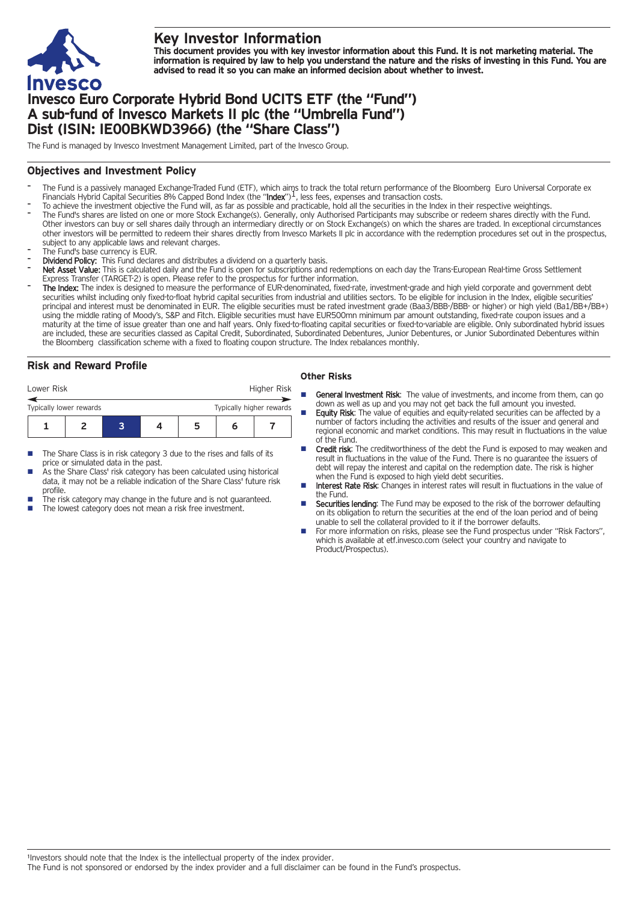

# **Key Investor Information**

This document provides you with key investor information about this Fund. It is not marketing material. The information is required by law to help you understand the nature and the risks of investing in this Fund. You are **advised to read it so you can make an informed decision about whether to invest.**

# **Invesco Euro Corporate Hybrid Bond UCITS ETF (the "Fund") A sub-fund of Invesco Markets II plc (the "Umbrella Fund") Dist (ISIN: IE00BKWD3966) (the "Share Class")**

The Fund is managed by Invesco Investment Management Limited, part of the Invesco Group.

## **Objectives and Investment Policy**

- The Fund is a passively managed Exchange-Traded Fund (ETF), which aims to track the total return performance of the Bloomberg Euro Universal Corporate ex<br>Financials Hybrid Capital Securities 8% Capped Bond Index (the "**Ind**
- To achieve the investment objective the Fund will, as far as possible and practicable, hold all the securities in the Index in their respective weightings.
- The Fund's shares are listed on one or more Stock Exchange(s). Generally, only Authorised Participants may subscribe or redeem shares directly with the Fund. Other investors can buy or sell shares daily through an intermediary directly or on Stock Exchange(s) on which the shares are traded. In exceptional circumstances other investors will be permitted to redeem their shares directly from Invesco Markets II plc in accordance with the redemption procedures set out in the prospectus, subject to any applicable laws and relevant charges.
- The Fund's base currency is EUR.
- Dividend Policy: This Fund declares and distributes a dividend on a quarterly basis.
- Net Asset Value: This is calculated daily and the Fund is open for subscriptions and redemptions on each day the Trans-European Real-time Gross Settlement Express Transfer (TARGET-2) is open. Please refer to the prospectus for further information.
- The Index: The index is designed to measure the performance of EUR-denominated, fixed-rate, investment-grade and high yield corporate and government debt securities whilst including only fixed-to-float hybrid capital securities from industrial and utilities sectors. To be eligible for inclusion in the Index, eligible securities' principal and interest must be denominated in EUR. The eligible securities must be rated investment grade (Baa3/BBB-/BBB- or higher) or high yield (Ba1/BB+/BB+) using the middle rating of Moody's, S&P and Fitch. Eligible securities must have EUR500mn minimum par amount outstanding, fixed-rate coupon issues and a maturity at the time of issue greater than one and half years. Only fixed-to-floating capital securities or fixed-to-variable are eligible. Only subordinated hybrid issues are included, these are securities classed as Capital Credit, Subordinated, Subordinated Debentures, Junior Debentures, or Junior Subordinated Debentures within the Bloomberg classification scheme with a fixed to floating coupon structure. The Index rebalances monthly.

# **Risk and Reward Profile**

| Lower Risk              |  |  |  |                          |   | Higher Risk |
|-------------------------|--|--|--|--------------------------|---|-------------|
| Typically lower rewards |  |  |  | Typically higher rewards |   |             |
|                         |  |  |  |                          | n |             |

- The Share Class is in risk category 3 due to the rises and falls of its price or simulated data in the past.
- As the Share Class' risk category has been calculated using historical data, it may not be a reliable indication of the Share Class' future risk profile.
- The risk category may change in the future and is not guaranteed.
- The lowest category does not mean a risk free investment.

### **Other Risks**

- General Investment Risk: The value of investments, and income from them, can go down as well as up and you may not get back the full amount you invested.
- Equity Risk: The value of equities and equity-related securities can be affected by a number of factors including the activities and results of the issuer and general and regional economic and market conditions. This may result in fluctuations in the value of the Fund.
- Credit risk: The creditworthiness of the debt the Fund is exposed to may weaken and result in fluctuations in the value of the Fund. There is no guarantee the issuers of debt will repay the interest and capital on the redemption date. The risk is higher when the Fund is exposed to high yield debt securities
- Interest Rate Risk: Changes in interest rates will result in fluctuations in the value of the Fund.
- **Securities lending:** The Fund may be exposed to the risk of the borrower defaulting on its obligation to return the securities at the end of the loan period and of being unable to sell the collateral provided to it if the borrower defaults.
- For more information on risks, please see the Fund prospectus under "Risk Factors", which is available at etf.invesco.com (select your country and navigate to Product/Prospectus).